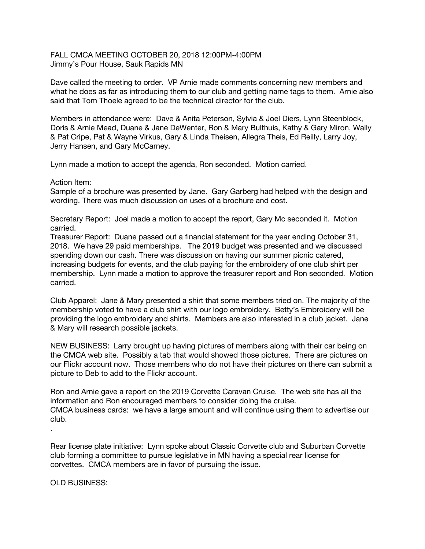FALL CMCA MEETING OCTOBER 20, 2018 12:00PM-4:00PM Jimmy's Pour House, Sauk Rapids MN

Dave called the meeting to order. VP Arnie made comments concerning new members and what he does as far as introducing them to our club and getting name tags to them. Arnie also said that Tom Thoele agreed to be the technical director for the club.

Members in attendance were: Dave & Anita Peterson, Sylvia & Joel Diers, Lynn Steenblock, Doris & Arnie Mead, Duane & Jane DeWenter, Ron & Mary Bulthuis, Kathy & Gary Miron, Wally & Pat Cripe, Pat & Wayne Virkus, Gary & Linda Theisen, Allegra Theis, Ed Reilly, Larry Joy, Jerry Hansen, and Gary McCarney.

Lynn made a motion to accept the agenda, Ron seconded. Motion carried.

Action Item:

Sample of a brochure was presented by Jane. Gary Garberg had helped with the design and wording. There was much discussion on uses of a brochure and cost.

Secretary Report: Joel made a motion to accept the report, Gary Mc seconded it. Motion carried.

Treasurer Report: Duane passed out a financial statement for the year ending October 31, 2018. We have 29 paid memberships. The 2019 budget was presented and we discussed spending down our cash. There was discussion on having our summer picnic catered, increasing budgets for events, and the club paying for the embroidery of one club shirt per membership. Lynn made a motion to approve the treasurer report and Ron seconded. Motion carried.

Club Apparel: Jane & Mary presented a shirt that some members tried on. The majority of the membership voted to have a club shirt with our logo embroidery. Betty's Embroidery will be providing the logo embroidery and shirts. Members are also interested in a club jacket. Jane & Mary will research possible jackets.

NEW BUSINESS: Larry brought up having pictures of members along with their car being on the CMCA web site. Possibly a tab that would showed those pictures. There are pictures on our Flickr account now. Those members who do not have their pictures on there can submit a picture to Deb to add to the Flickr account.

Ron and Arnie gave a report on the 2019 Corvette Caravan Cruise. The web site has all the information and Ron encouraged members to consider doing the cruise. CMCA business cards: we have a large amount and will continue using them to advertise our club.

Rear license plate initiative: Lynn spoke about Classic Corvette club and Suburban Corvette club forming a committee to pursue legislative in MN having a special rear license for corvettes. CMCA members are in favor of pursuing the issue.

OLD BUSINESS:

.